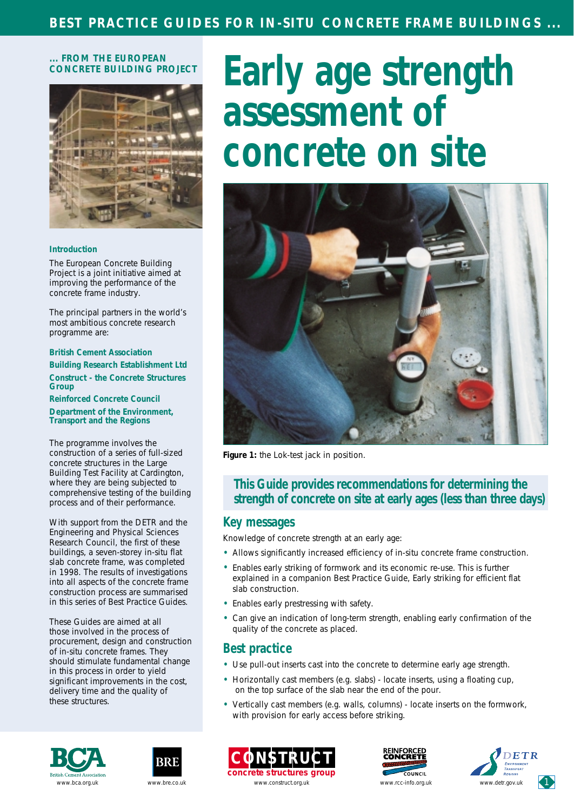#### **... FROM THE EUROPEAN CONCRETE BUILDING PROJECT**



#### **Introduction**

The European Concrete Building Project is a joint initiative aimed at improving the performance of the concrete frame industry.

The principal partners in the world's most ambitious concrete research programme are:

**British Cement Association Building Research Establishment Ltd Construct - the Concrete Structures Group Reinforced Concrete Council**

**Department of the Environment, Transport and the Regions**

The programme involves the construction of a series of full-sized concrete structures in the Large Building Test Facility at Cardington, where they are being subjected to comprehensive testing of the building process and of their performance.

With support from the DETR and the Engineering and Physical Sciences Research Council, the first of these buildings, a seven-storey in-situ flat slab concrete frame, was completed in 1998. The results of investigations into all aspects of the concrete frame construction process are summarised in this series of Best Practice Guides.

These Guides are aimed at all those involved in the process of procurement, design and construction of in-situ concrete frames. They should stimulate fundamental change in this process in order to yield significant improvements in the cost, delivery time and the quality of these structures.

# **Early age strength assessment of concrete on site**



*Figure 1: the Lok-test jack in position.*

### **This Guide provides recommendations for determining the strength of concrete on site at early ages (less than three days)**

#### **Key messages**

Knowledge of concrete strength at an early age:

- Allows significantly increased efficiency of in-situ concrete frame construction.
- Enables early striking of formwork and its economic re-use. This is further explained in a companion Best Practice Guide, *Early striking for efficient flat slab construction.*
- Enables early prestressing with safety.
- Can give an indication of long-term strength, enabling early confirmation of the quality of the concrete as placed.

#### **Best practice**

- Use pull-out inserts cast into the concrete to determine early age strength.
- Horizontally cast members (e.g. slabs) locate inserts, using a floating cup, on the top surface of the slab near the end of the pour.
- Vertically cast members (e.g. walls, columns) locate inserts on the formwork, with provision for early access before striking.











[www.bca.org.uk](http://www.bca.org.uk/) [www.bre.co.uk](http://www.bre.co.uk) www.construct.org.uk [www.rcc-info.org.uk](http://www.rcc-info.org.uk/) [www.detr.gov.uk](http://www.detr.gov.uk/)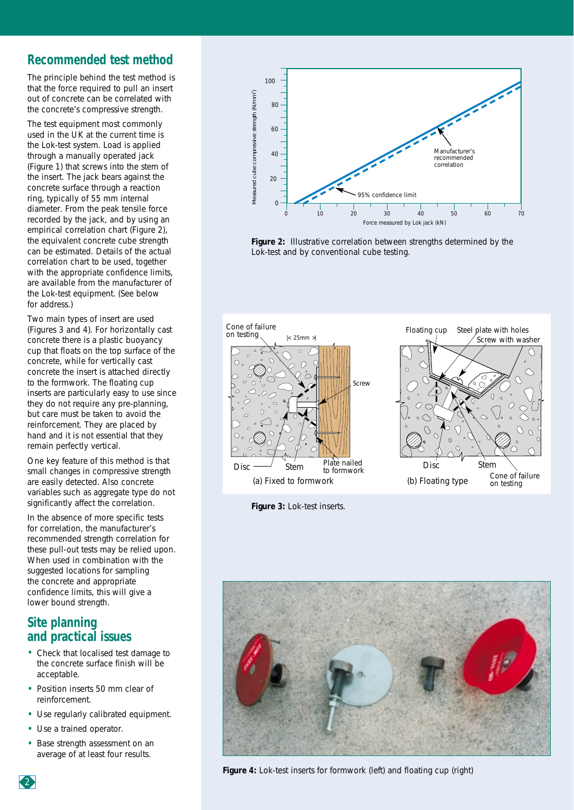## **Recommended test method**

The principle behind the test method is that the force required to pull an insert out of concrete can be correlated with the concrete's compressive strength.

The test equipment most commonly used in the UK at the current time is the Lok-test system. Load is applied through a manually operated jack (Figure 1) that screws into the stem of the insert. The jack bears against the concrete surface through a reaction ring, typically of 55 mm internal diameter. From the peak tensile force recorded by the jack, and by using an empirical correlation chart (Figure 2), the equivalent concrete cube strength can be estimated. Details of the actual correlation chart to be used, together with the appropriate confidence limits, are available from the manufacturer of the Lok-test equipment. (See below for address.)

Two main types of insert are used (Figures 3 and 4). For horizontally cast concrete there is a plastic buoyancy cup that floats on the top surface of the concrete, while for vertically cast concrete the insert is attached directly to the formwork. The floating cup inserts are particularly easy to use since they do not require any pre-planning, but care must be taken to avoid the reinforcement. They are placed by hand and it is not essential that they remain perfectly vertical.

One key feature of this method is that small changes in compressive strength are easily detected. Also concrete variables such as aggregate type do not significantly affect the correlation.

In the absence of more specific tests for correlation, the manufacturer's recommended strength correlation for these pull-out tests may be relied upon. When used in combination with the suggested locations for sampling the concrete and appropriate confidence limits, this will give a lower bound strength.

## **Site planning and practical issues**

- Check that localised test damage to the concrete surface finish will be acceptable.
- Position inserts 50 mm clear of reinforcement.
- Use regularly calibrated equipment.
- Use a trained operator.
- Base strength assessment on an average of at least four results.



*Figure 2: Illustrative correlation between strengths determined by the Lok-test and by conventional cube testing.* 



*Figure 3: Lok-test inserts.*



2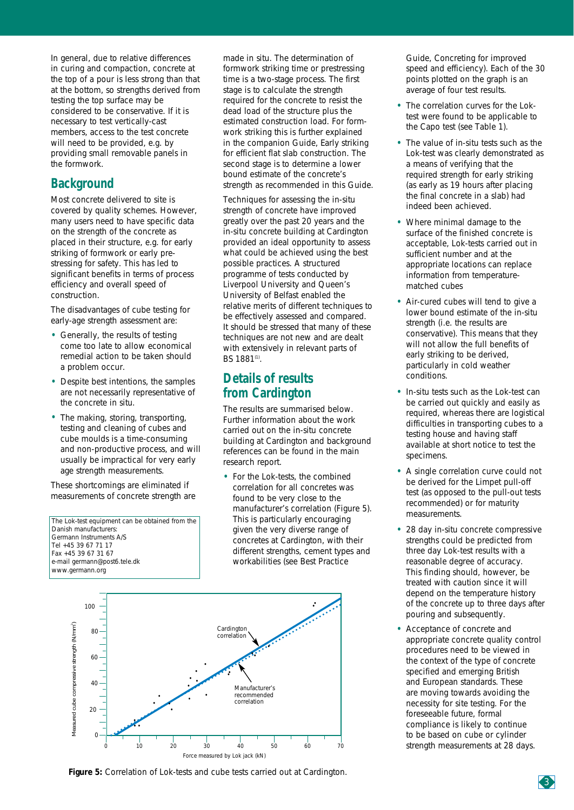In general, due to relative differences in curing and compaction, concrete at the top of a pour is less strong than that at the bottom, so strengths derived from testing the top surface may be considered to be conservative. If it is necessary to test vertically-cast members, access to the test concrete will need to be provided, e.g. by providing small removable panels in the formwork.

## **Background**

Most concrete delivered to site is covered by quality schemes. However, many users need to have specific data on the strength of the concrete as placed in their structure, e.g. for early striking of formwork or early prestressing for safety. This has led to significant benefits in terms of process efficiency and overall speed of construction.

The disadvantages of cube testing for early-age strength assessment are:

- Generally, the results of testing come too late to allow economical remedial action to be taken should a problem occur.
- Despite best intentions, the samples are not necessarily representative of the concrete in situ.
- The making, storing, transporting, testing and cleaning of cubes and cube moulds is a time-consuming and non-productive process, and will usually be impractical for very early age strength measurements.

These shortcomings are eliminated if measurements of concrete strength are

The Lok-test equipment can be obtained from the Danish manufacturers: Germann Instruments A/S Tel +45 39 67 71 17 Fax +45 39 67 31 67 e-mail germann@post6.tele.dk [www.germann.org](http://www.germann.org)

made in situ. The determination of formwork striking time or prestressing time is a two-stage process. The first stage is to calculate the strength required for the concrete to resist the dead load of the structure plus the estimated construction load. For formwork striking this is further explained in the companion Guide, *Early striking for efficient flat slab construction*. The second stage is to determine a lower bound estimate of the concrete's strength as recommended in this Guide.

Techniques for assessing the in-situ strength of concrete have improved greatly over the past 20 years and the in-situ concrete building at Cardington provided an ideal opportunity to assess what could be achieved using the best possible practices. A structured programme of tests conducted by Liverpool University and Queen's University of Belfast enabled the relative merits of different techniques to be effectively assessed and compared. It should be stressed that many of these techniques are not new and are dealt with extensively in relevant parts of BS 1881<sup>(1)</sup>.

## **Details of results from Cardington**

The results are summarised below. Further information about the work carried out on the in-situ concrete building at Cardington and background references can be found in the main research report.

• For the Lok-tests, the combined correlation for all concretes was found to be very close to the manufacturer's correlation (Figure 5). This is particularly encouraging given the very diverse range of concretes at Cardington, with their different strengths, cement types and workabilities (see Best Practice



Guide, *Concreting for improved speed and efficiency*). Each of the 30 points plotted on the graph is an average of four test results.

- The correlation curves for the Loktest were found to be applicable to the Capo test (see Table 1).
- The value of in-situ tests such as the Lok-test was clearly demonstrated as a means of verifying that the required strength for early striking (as early as 19 hours after placing the final concrete in a slab) had indeed been achieved.
- Where minimal damage to the surface of the finished concrete is acceptable, Lok-tests carried out in sufficient number and at the appropriate locations can replace information from temperaturematched cubes
- Air-cured cubes will tend to give a lower bound estimate of the in-situ strength (i.e. the results are conservative). This means that they will not allow the full benefits of early striking to be derived, particularly in cold weather conditions.
- In-situ tests such as the Lok-test can be carried out quickly and easily as required, whereas there are logistical difficulties in transporting cubes to a testing house and having staff available at short notice to test the specimens.
- A single correlation curve could not be derived for the Limpet pull-off test (as opposed to the pull-out tests recommended) or for maturity measurements.
- 28 day in-situ concrete compressive strengths could be predicted from three day Lok-test results with a reasonable degree of accuracy. This finding should, however, be treated with caution since it will depend on the temperature history of the concrete up to three days after pouring and subsequently.
- Acceptance of concrete and appropriate concrete quality control procedures need to be viewed in the context of the type of concrete specified and emerging British and European standards. These are moving towards avoiding the necessity for site testing. For the foreseeable future, formal compliance is likely to continue to be based on cube or cylinder strength measurements at 28 days.